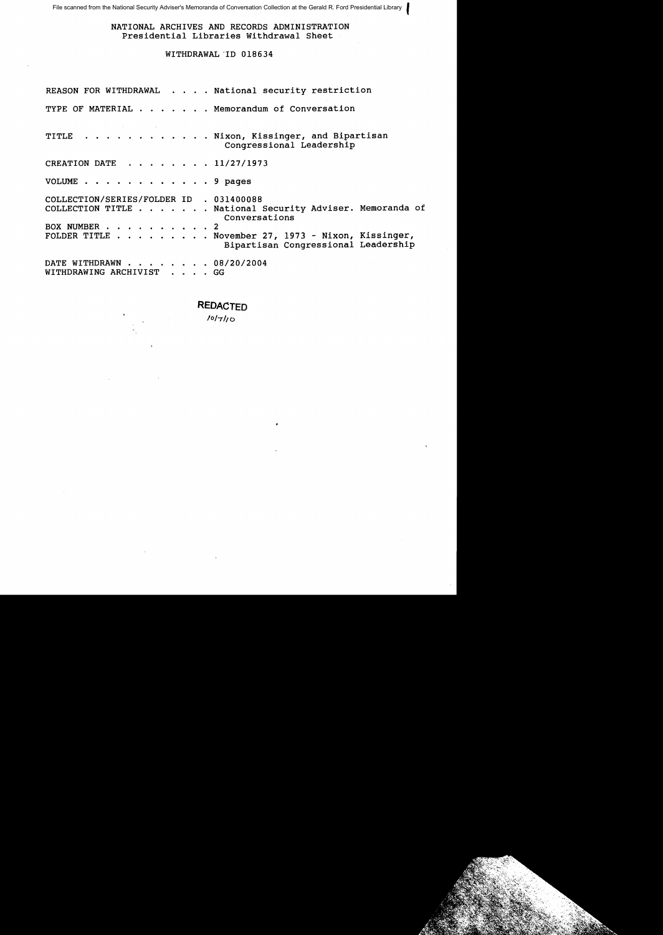File scanned from the National Security Adviser's Memoranda of Conversation Collection at the Gerald R. Ford Presidential Library

NATIONAL ARCHIVES AND RECORDS ADMINISTRATION Presidential Libraries Withdrawal Sheet

#### WITHDRAWAL 'ID 018634

REASON FOR WITHDRAWAL . . . . National security restriction TYPE OF MATERIAL . . . . . . Memorandum of Conversation TITLE . . . . . . . . . . . Nixon, Kissinger, and Bipartisan Congressional Leadership CREATION DATE .... 11/27/1973 VOLUME . . . . . . . . . . . . 9 pages COLLECTION/SERIES/FOLDER ID 031400088 COLLECTION TITLE . National Security Adviser. Memoranda of BOX NUMBER . . . . . . . . . FOLDER TITLE . November 27, 1973 - Nixon, Kissinger, • Conversations 2 Bipartisan Congressional Leadership DATE WITHDRAWN . . . . .. 08/20/2004 WITHDRAWING ARCHIVIST . . . GG

### **REDACTED**

1*0* 17110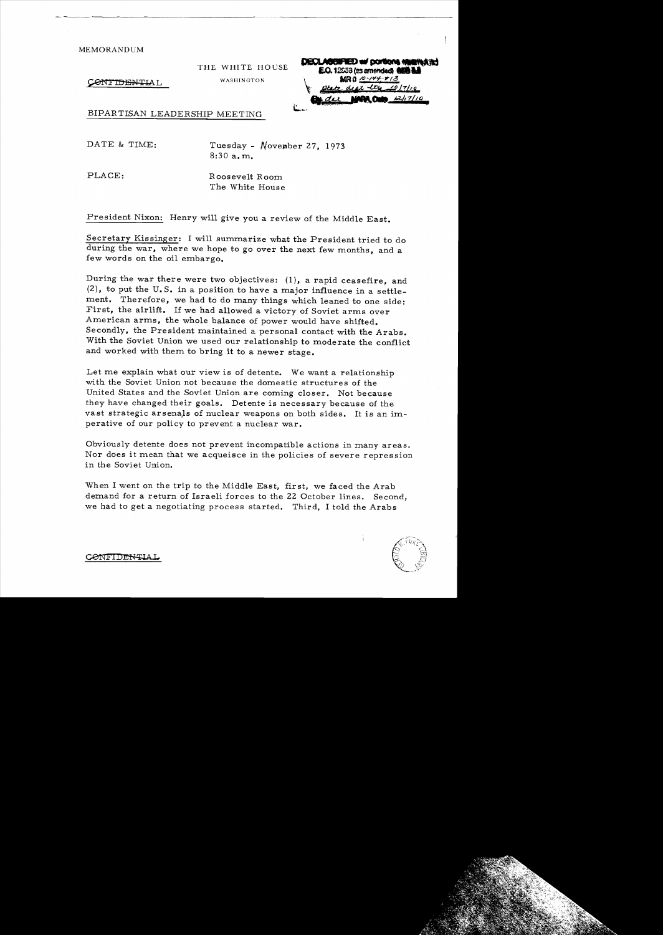THE WHITE HOUSE WASHINGTON

ONFIDENTIAL

| <b>DECLASSIFIED w/ portions www.water</b><br>E.O. 12553 (es amendad) 808 b. |
|-----------------------------------------------------------------------------|
| MRQ 10-144-113                                                              |
| ptate deat the 10/7/10<br>$d\alpha$ MRA, One $2/17/10$                      |
|                                                                             |

BIPAR TISAN LEADERSHIP MEETING

DATE & TIME: Tuesday - November 27, 1973 8:30a.m.

PLACE: Roosevelt Room The White House

President Nixon: Henry will give you a review of the Middle East.

Secretary Kissinger: I will summarize what the President tried to do during the war, where we hope to go over the next few months, and a few words on the oil embargo.

During the war there were two objectives: (1), a rapid ceasefire, and (2), to put the U.S. in a position to have a major influence in a settlement. Therefore, we had to do many things which leaned to one side: First, the airlift. If we had allowed a victory of Soviet arms over American arms, the whole balance of power would have shifted. Secondly, the President maintained a personal contact with the Arabs. With the Soviet Union we used our relationship to moderate the conflict and worked with them to bring it to a newer stage.

Let me explain what our view is of detente. We want a relationship with the Soviet Union not because the domestic structures of the United States and the Soviet Union are coming closer. Not because they have changed their goals. Detente is necessary because of the vast strategic arsenaJs of nuclear weapons on both sides. It is an imperative of our policy to prevent a nuclear war.

Obviously detente does not prevent incompatible actions in many areas. Nor does it mean that we acqueisce in the policies of severe repression in the Soviet Union.

When I went on the trip to the Middle East, first, we faced the Arab demand for a return of Israeli forces to the 22 October lines. Second, we had to get a negotiating process started. Third, I told the Arabs

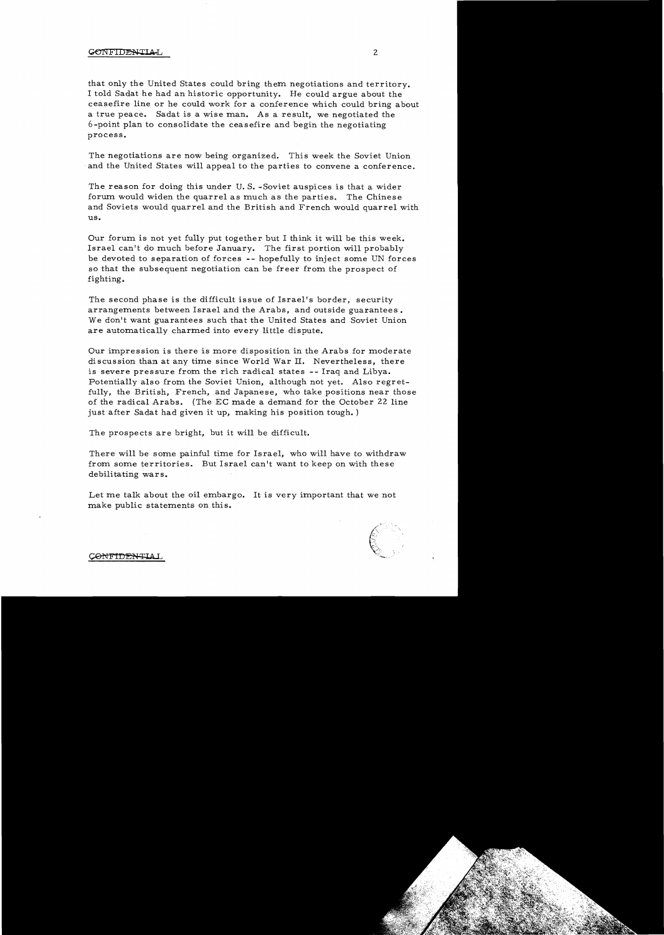that only the United States could bring them negotiations and territory. I told Sadat he had an historic opportunity. He could argue about the ceasefire line or he could work for a conference which could bring about a true peace. Sadat is a wise man. As a result, we negotiated the 6-point plan to consolidate the ceasefire and begin the negotiating process.

The negotiations are now being organized. This week the Soviet Union and the United States will appeal to the parties to convene a conference.

The reason for doing this under U. S. -Soviet auspices is that a wider forum would widen the quarrel as much as the parties. The Chinese and Soviets would quarrel and the British and French would quarrel with us.

Our forum is not yet fully put together but I think it will be this week. Israel can't do much before January. The first portion will probably be devoted to separation of forces - - hopefully to inject some UN forces so that the subsequent negotiation can be freer from the prospect of fighting.

The second phase is the difficult issue of Israel's border, security arrangements between Israel and the Arabs, and outside guarantees. We don't want guarantees such that the United States and Soviet Union are automatically charmed into every little dispute.

Our impression is there is more disposition in the Arabs for moderate discussion than at any time since World War **II.** Nevertheless, there is severe pressure from the rich radical states -- Iraq and Libya. Potentially also from the Soviet Union, although not yet. Also regretfully, the British, French, and Japanese, who take positions near those of the radical Arabs. (The EC made a demand for the October 22 line just after Sadat had given it up, making his position tough. )

The prospects are bright, but it will be difficult.

There will be some painful time for Israel, who will have to withdraw from some territories. But Israel can't want to keep on with these debilitating wars.

Let me talk about the oil embargo. It is very important that we not make public statements on this.



ONTIDENTIA I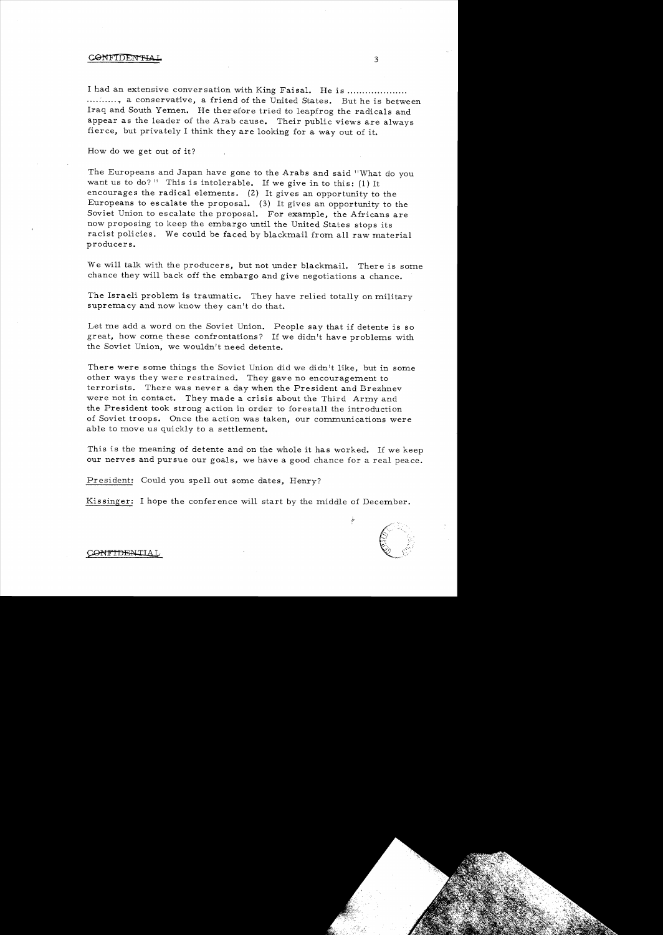#### CONTIDENT

I had an extensive conversation with King Faisal. He is ............... ..........., a conservative, a friend of the United States. But he is between Iraq and South Yemen. He therefore tried to leapfrog the radicals and appear as the leader of the Arab cause. Their public views are always fierce, but privately I think they are looking for a way out of it.

How do we get out of it?

The Europeans and Japan have gone to the Arabs and said "What do you want us to do?" This is intolerable. If we give in to this: (1) It encourages the radical elements. (2) It gives an opportunity to the Europeans to escalate the proposal. (3) It gives an opportunity to the Soviet Union to escalate the proposal. For example, the Africans are now proposing to keep the embargo until the United States stops its racist policies. We could be faced by blackmail from all raw material producers.

We will talk with the producers, but not under blackmail. There is some chance they will back off the embargo and give negotiations a chance.

The Israeli problem is traumatic. They have relied totally on military supremacy and now know they can't do that.

Let me add a word on the Soviet Union. People say that if detente is so great, how come these confrontations? 1£ we didn't have problems with the Soviet Union, we wouldn't need detente.

There were some things the Soviet Union did we didn't like, but in some other ways they were restrained. They gave no encouragement to terrorists. There was never a day when the President and Brezhnev were not in contact. They made a crisis about the Third Army and the President took strong action in order to forestall the introduction of Soviet troops. Once the action was taken, our communications were able to move us quickly to a settlement.

This is the meaning of detente and on the whole it has worked. If we keep our nerves and pursue our goals, we have a good chance for a real peace.

President: Could you spell out some dates, Henry?

Kissinger: I hope the conference will start by the middle of December.

 $\frac{1}{2}$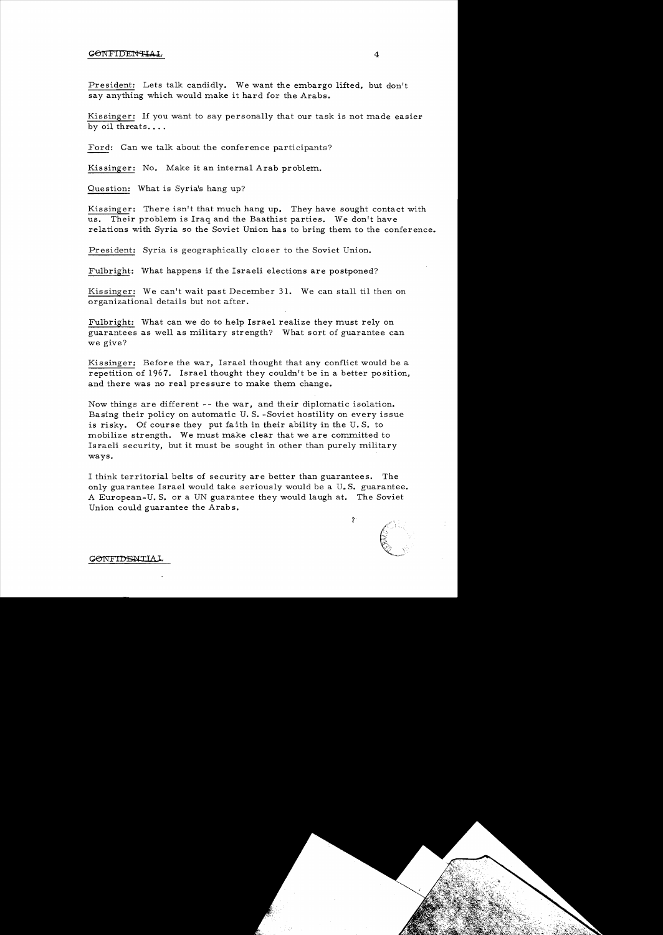President: Lets talk candidly. We want the embargo lifted, but don't say anything which would make it hard for the Arabs.

Kissinger: If you want to say personally that our task is not made easier by oil threats....

Ford: Can we talk about the conference participants?

Kissinger: No. Make it an internal Arab problem.

Question: What is Syria's hang up?

Kissinger: There isn't that much hang up. They have sought contact with us. Their problem is Iraq and the Baathist parties. We don't have relations with Syria so the Soviet Union has to bring them to the conference.

President: Syria is geographically closer to the Soviet Union.

Fulbright: What happens if the Israeli elections are postponed?

Kissinger: We can't wait past December 31. We can stall til then on organizational details but not after.

Fulbright: What can we do to help Israel realize they must rely on guarantees as well as military strength? What sort of guarantee can we give?

Kissinger: Before the war, Israel thought that any conflict would be a repetition of 1967. Israel thought they couldn't be in a better position, and there was no real pressure to make them change.

Now things are different - - the war, and their diplomatic isolation. Basing their policy on automatic U. S. -Soviet hostility on every issue is risky. Of course they put faith in their ability in the U. S. to mobilize strength. We must make clear that we are committed to Israeli security, but it must be sought in other than purely military ways.

I think territorial belts of security are better than guarantees. The only guarantee Israel would take seriously would be a U.S. guarantee. A European- U. S. or a UN guarantee they would laugh at. The Soviet Union could guarantee the Arabs.

 $\mathcal{P}$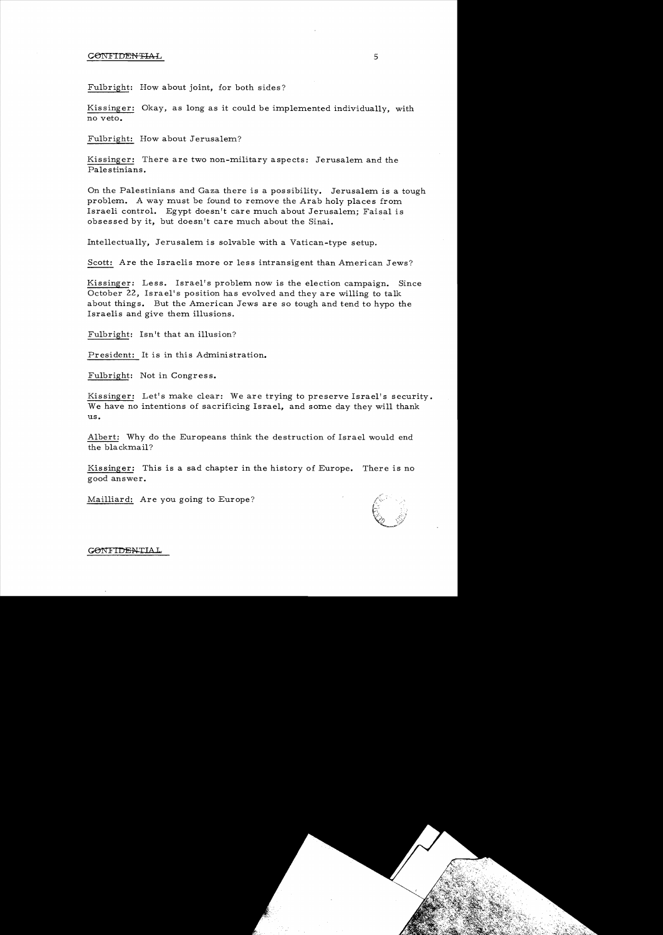Fulbright: How about joint, for both sides?

Kissinger: Okay, as long as it could be implemented individually, with no veto.

Fulbright: How about Jerusalem?

Kissinger: There are two non-military aspects: Jerusalem and the Palestinians.

On the Palestinians and Gaza there is a possibility. Jerusalem is a tough problem. A way must be found to remove the Arab holy places from Israeli control. Egypt doesn't care much about Jerusalem; Faisal is obsessed by it, but doesn't care much about the Sinai.

Intellectually, Jerusalem is solvable with a Vatican-type setup.

Scott: Are the Israelis more or less intransigent than American Jews?

Kissinger: Less. Israel's problem now is the election campaign. Since October 22, Israel's position has evolved and they are willing to talk about things. But the American Jews are so tough and tend to hypo the Israelis and give them illusions.

Fulbright: Isn't that an illusion?

President: It is in this Administration.

Fulbright: Not in Congress.

Kissinger: Let's make clear: We are trying to preserve Israel's security. We have no intentions of sacrificing Israel, and some day they will thank us.

Albert: Why do the Europeans think the destruction of Israel would end the blackmail?

Kissinger: This is a sad chapter in the history of Europe. There is no good answer.

Mailliard: Are you going to Europe?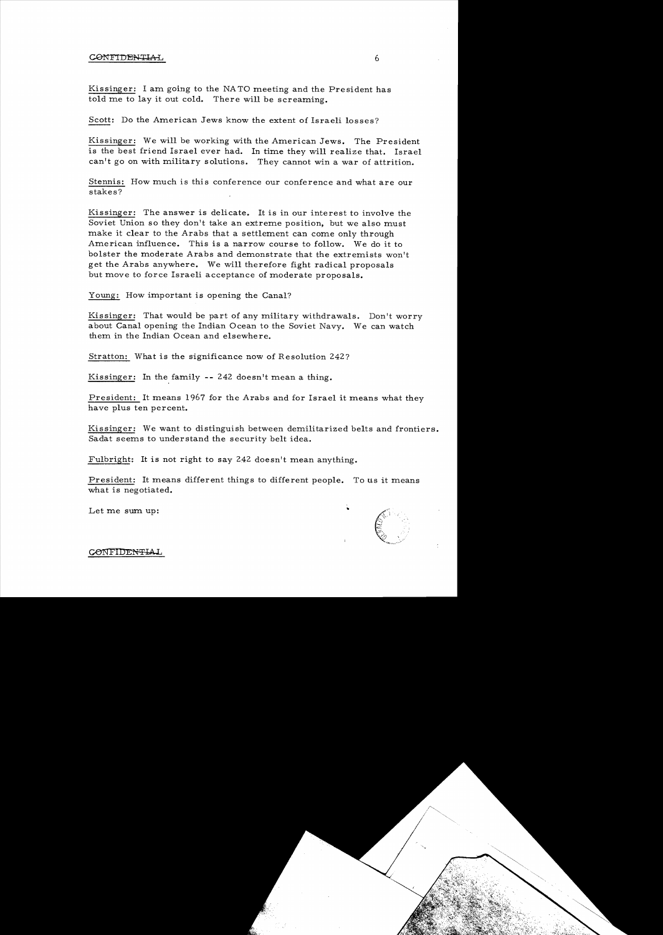Kissinger: I am going to the NA TO meeting and the President has told me to lay it out cold. There will be screaming.

Scott: Do the American Jews know the extent of Israeli losses?

Kissinger: We will be working with the American Jews. The President is the best friend Israel ever had. In time they will realize that. Israel can't go on with military solutions. They cannot win a war of attrition.

Stennis: How much is this conference our conference and what are our stakes?

Kissinger: The answer is delicate. It is in our interest to involve the Soviet Union so they don't take an extreme position, but we also must make it clear to the Arabs that a settlement can come only through American influence. This is a narrow course to follow. We do it to bolster the moderate Arabs and demonstrate that the extremists won't get the Arabs anywhere. We will therefore fight radical proposals but move to force Israeli acceptance of moderate proposals.

Young: How important is opening the Canal?

Kissinger: That would be part of any military withdrawals. Don't worry about Canal opening the Indian Ocean to the Soviet Navy. We can watch them in the Indian Ocean and elsewhere.

Stratton: What is the significance now of Resolution 242?

Kissinger: In the family **--** 242 doesn't mean a thing.

President: It means 1967 for the Arabs and for Israel it means what they have plus ten percent.

Kissinger: We want to distinguish between demilitarized belts and frontiers. Sadat seems to understand the security belt idea.

Fulbright: It is not right to say 242 doesn't mean anything.

President: It means different things to different people. To us it means what is negotiated.

Let me sum up:

6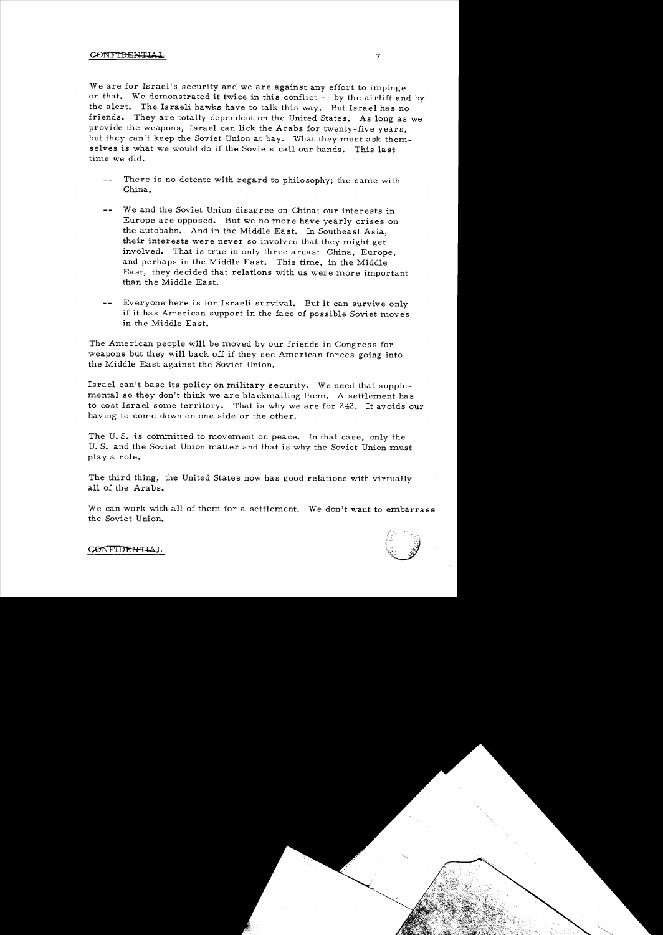We are for Israel's security and we are against any effort to impinge on that. We demonstrated it twice in this conflict **--** by the airlift and by the alert. The Israeli hawks have to talk this way. But Israel has no friends. They are totally dependent on the United States. As long as we provide the weapons, Israel can lick the Arabs for twenty-five years, but they can't keep the Soviet Union at bay. What they must ask themselves is what we would do if the Soviets call our hands. This last time we did.

- $\perp$   $\perp$ There is no detente with regard to philosophy; the same with China.
- $-$ We and the Soviet Union disagree on China; our interests in Europe are opposed. But we no more have yearly crises on the autobahn. And in the Middle Ea st. In Southeast Asia, their interests were never so involved that they might get involved. That is true in only three areas: China, Europe, and perhaps in the Middle East. This time, in the Middle East, they decided that relations with us were more important than the Middle East.
- Everyone here is for Israeli survival. But it can survive only  $$ if it has American support in the face of possible Soviet moves in the Middle East.

The American people will be moved by our friends in Congress for weapons but they will back off if they see American forces going into the Middle Ea st against the Soviet Union.

Israel can't base its policy on military security. We need that supplemental so they don't think we are blackmailing them. A settlement has to cost Israel some territory. That is why we are for 242. It avoids our having to come down on one side or the other.

The U. S. is committed to movement on peace. In that case, only the U. S. and the Soviet Union matter and that is why the Soviet Union must playa role.

The third thing, the United States now has good relations with virtually all of the Arabs.

We can work with all of them for a settlement. We don't want to embarrass the Soviet Union.

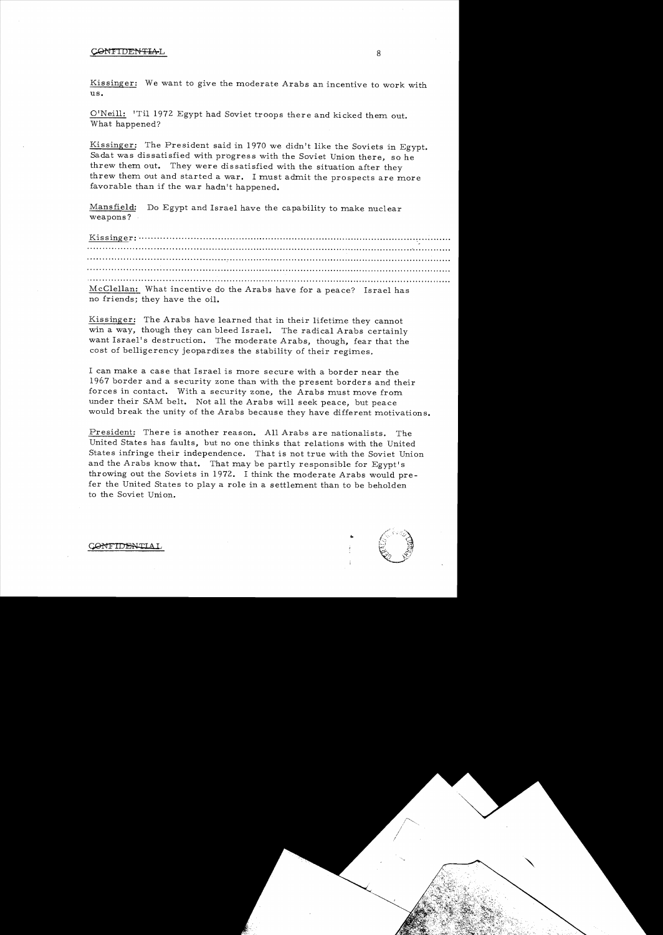Kissinger: We want to give the moderate Arabs an incentive to work with  $\overline{u}$ s.

O'Neill: 'Til 1972 Egypt had Soviet troops there and kicked them out. What happened?

Kissinger: The President said in 1970 we didn't like the Soviets in Egypt. Sadat was dissatisfied with progress with the Soviet Union there, so he threw them out. They were dissatisfied with the situation after they threw them out and started a war. I must admit the prospects are more favorable than if the war hadn't happened.

Mansfield: Do Egypt and Israel have the capability to make nuclear weapons?

Kis singer: ............................................................................................. :; ......... . **.............................................................................................................'............ . .......................... ................................................................................................ .......... ................................................................................................................ ' ..........................................................................................................................** McClellan: What incentive do the Arabs have for a peace? Israel has

no friends; they have the oil.

Kissinger: The Arabs have learned that in their lifetime they cannot win a way, though they can bleed Israel. The radical Arabs certainly want Israel's destruction. The moderate Arabs, though, fear that the cost of belligerency jeopardizes the stability of their regimes.

I can make a case that Israel is more secure with a border near the 1967 border and a security zone than with the present borders and their forces in contact. With a security zone, the Arabs must move from under their SAM belt. Not all the Arabs will seek peace, but peace would break the unity of the Arabs because they have different motivations.

President: There is another reason. All Arabs are nationalists. The United States has faults, but no one thinks that relations with the United States infringe their independence. That is not true with the Soviet Union and the Arabs know that. That may be partly responsible for Egypt's throwing out the Soviets in 1972. I think the moderate Arabs would prefer the United States to playa role in a settlement than to be beholden to the Soviet Union.



**ONFTDENILLA**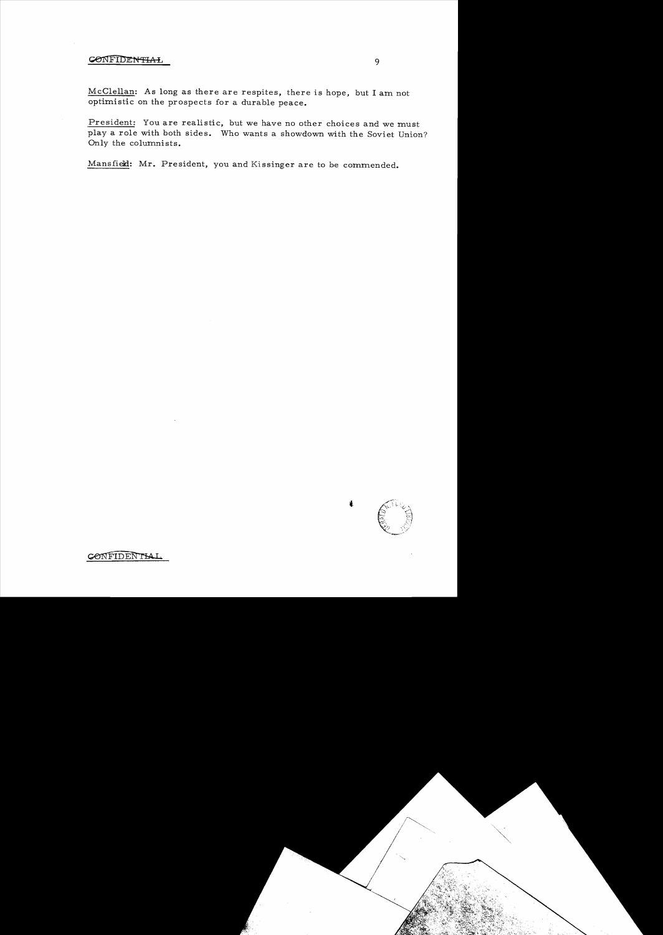McClellan: As long as there are respites, there is hope, but I am not optimistic on the prospects for a durable peace.

President: You are realistic, but we have no other choices and we must playa role with both sides. Who wants a showdown with the Soviet Union? Only the columnists.

Mansfield: Mr. President, you and Kissinger are to be commended.



1.